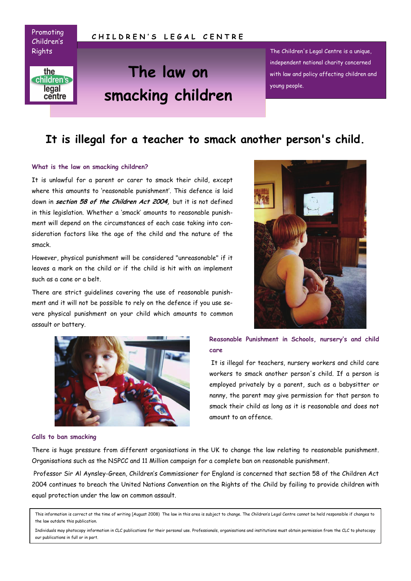

# **It is illegal for a teacher to smack another person's child.**

#### **What is the law on smacking children?**

It is unlawful for a parent or carer to smack their child, except where this amounts to 'reasonable punishment'. This defence is laid down in **section 58 of the Children Act 2004,** but it is not defined in this legislation. Whether a 'smack' amounts to reasonable punishment will depend on the circumstances of each case taking into consideration factors like the age of the child and the nature of the smack.

However, physical punishment will be considered "unreasonable" if it leaves a mark on the child or if the child is hit with an implement such as a cane or a belt.

There are strict guidelines covering the use of reasonable punishment and it will not be possible to rely on the defence if you use severe physical punishment on your child which amounts to common assault or battery.





**Reasonable Punishment in Schools, nursery's and child care**

 It is illegal for teachers, nursery workers and child care workers to smack another person's child. If a person is employed privately by a parent, such as a babysitter or nanny, the parent may give permission for that person to smack their child as long as it is reasonable and does not amount to an offence.

#### **Calls to ban smacking**

There is huge pressure from different organisations in the UK to change the law relating to reasonable punishment. Organisations such as the NSPCC and 11 Million campaign for a complete ban on reasonable punishment.

 Professor Sir Al Aynsley-Green, Children's Commissioner for England is concerned that section 58 of the Children Act 2004 continues to breach the United Nations Convention on the Rights of the Child by failing to provide children with equal protection under the law on common assault.

This information is correct at the time of writing [August 2008) The law in this area is subject to change. The Children's Legal Centre cannot be held responsible if changes to the law outdate this publication.

Individuals may photocopy information in CLC publications for their personal use. Professionals, organisations and institutions must obtain permission from the CLC to photocopy our publications in full or in part.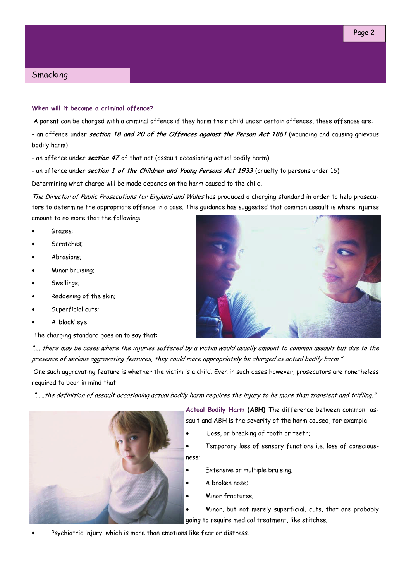## Smacking

#### **When will it become a criminal offence?**

 A parent can be charged with a criminal offence if they harm their child under certain offences, these offences are: - an offence under **section 18 and 20 of the Offences against the Person Act 1861** (wounding and causing grievous bodily harm)

- an offence under **section 47** of that act (assault occasioning actual bodily harm)

- an offence under **section 1 of the Children and Young Persons Act 1933** (cruelty to persons under 16)

Determining what charge will be made depends on the harm caused to the child.

The Director of Public Prosecutions for England and Wales has produced a charging standard in order to help prosecutors to determine the appropriate offence in a case. This guidance has suggested that common assault is where injuries amount to no more that the following:

- Grazes;
- Scratches;
- Abrasions;
- Minor bruising;
- Swellings;
- Reddening of the skin;
- Superficial cuts;
- A 'black' eye

The charging standard goes on to say that:

"…. there may be cases where the injuries suffered by a victim would usually amount to common assault but due to the presence of serious aggravating features, they could more appropriately be charged as actual bodily harm."

 One such aggravating feature is whether the victim is a child. Even in such cases however, prosecutors are nonetheless required to bear in mind that:

"……the definition of assault occasioning actual bodily harm requires the injury to be more than transient and trifling."

**Actual Bodily Harm (ABH)** The difference between common assault and ABH is the severity of the harm caused, for example:

- Loss, or breaking of tooth or teeth;
- Temporary loss of sensory functions i.e. loss of consciousness;
- Extensive or multiple bruising;
- A broken nose;
- Minor fractures;

 Minor, but not merely superficial, cuts, that are probably going to require medical treatment, like stitches;

Psychiatric injury, which is more than emotions like fear or distress.